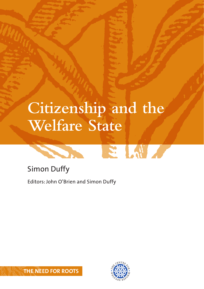# **Citizenship and the Welfare State**



Editors: John O'Brien and Simon Duffy

**START START** 





ELAL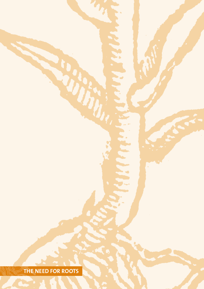**THE NEED FOR ROOTS**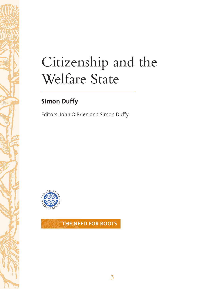# Citizenship and the Welfare State

### **Simon Duffy**

Editors: John O'Brien and Simon Duffy



**THE NEED FOR ROOTS**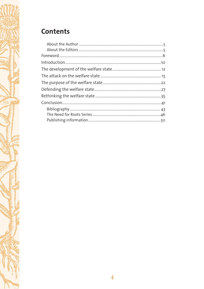### **Contents**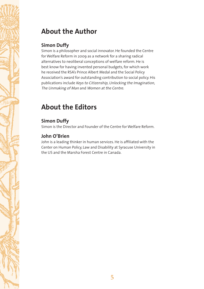### <span id="page-4-0"></span>**About the Author**

#### **Simon Duffy**

Simon is a philosopher and social innovator. He founded the Centre for Welfare Reform in 2009 as a network for a sharing radical alternatives to neoliberal conceptions of welfare reform. He is best know for having invented personal budgets, for which work he received the RSA's Prince Albert Medal and the Social Policy Association's award for outstanding contribution to social policy. His publications include Keys to Citizenship, Unlocking the Imagination, The Unmaking of Man and Women at the Centre.

### **About the Editors**

#### **Simon Duffy**

Simon is the Director and Founder of the Centre for Welfare Reform.

#### **John O'Brien**

John is a leading thinker in human services. He is affiliated with the Center on Human Policy, Law and Disability at Syracuse University in the US and the Marsha Forest Centre in Canada.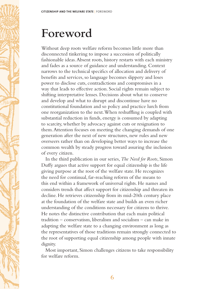## <span id="page-5-0"></span>**Foreword**

Without deep roots welfare reform becomes little more than disconnected tinkering to impose a succession of politically fashionable ideas. Absent roots, history restarts with each ministry and fades as a source of guidance and understanding. Context narrows to the technical specifics of allocation and delivery of benefits and services, so language becomes slippery and loses power to disclose cuts, contradictions and compromises in a way that leads to effective action. Social rights remain subject to shifting interpretative lenses. Decisions about what to conserve and develop and what to disrupt and discontinue have no constitutional foundation and so policy and practice lurch from one reorganization to the next. When reshuffling is coupled with substantial reduction in funds, energy is consumed by adapting to scarcity, whether by advocacy against cuts or resignation to them. Attention focuses on meeting the changing demands of one generation after the next of new structures, new rules and new overseers rather than on developing better ways to increase the common wealth by steady progress toward assuring the inclusion of every citizen.

In the third publication in our series, *The Need for Roots*, Simon Duffy argues that active support for equal citizenship is the life giving purpose at the root of the welfare state. He recognizes the need for continual, far-reaching reform of the means to this end within a framework of universal rights. He names and considers trends that affect support for citizenship and threaten its decline. He retrieves citizenship from its mid-20th century place at the foundation of the welfare state and builds an even richer understanding of the conditions necessary for citizens to thrive. He notes the distinctive contribution that each main political tradition – conservatism, liberalism and socialism – can make in adapting the welfare state to a changing environment as long as the representatives of those traditions remain strongly connected to the root of supporting equal citizenship among people with innate dignity.

Most important, Simon challenges citizens to take responsibility for welfare reform.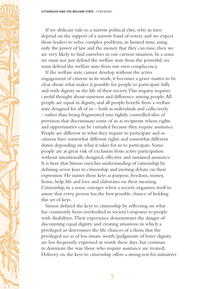If we abdicate rule to a narrow political elite, who in turn depend on the support of a narrow band of voters; and we expect those leaders to solve complex problems, in limited time, using only the power of law and the money that they can raise, then we are very likely to find ourselves in our current situation. In a sense we must not just defend the welfare state from the powerful, we must defend the welfare state from our own complacency.

If the welfare state cannot develop without the active engagement of citizens in its work, it becomes a grave matter to be clear about what makes it possible for people to participate fully and with dignity in the life of their society. This inquiry requires careful thought about sameness and difference among people. All people are equal in dignity, and all people benefit from a welfare state designed for all of us – both as individuals and collectively – rather than being fragmented into tightly controlled silos of provision that discriminate some of us as recipients whose rights and opportunities can be curtailed because they require assistance. People are different in what they require to participate and so citizens have somewhat different rights and somewhat different duties depending on what it takes for us to participate. Some people are at great risk of exclusion from active participation without intentionally designed, effective and sustained assistance. It is here that Simon enriches understanding of citizenship by defining seven keys to citizenship and inviting debate on their expression. He names these keys as purpose, freedom, money, home, help, life and love and elaborates on their meaning. Citizenship, in a sense, emerges when a society organizes itself to assure that every person has the best possible chance of holding this set of keys.

Simon defined the keys to citizenship by reflecting on what has commonly been overlooked in society's response to people with disabilities. Their experience demonstrates the danger of discounting equal dignity and creating situations in which a privileged us determines the life chances of a them that the privileged see as of less innate worth (judgments of lesser dignity are less frequently expressed in words these days, but continue to dominate the way those who require assistance are treated). Delivery on the keys to citizenship offers a strong test for initiatives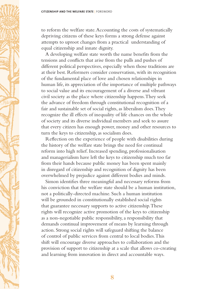to reform the welfare state. Accounting the costs of systematically depriving citizens of these keys forms a strong defense against attempts to uproot changes from a practical understanding of equal citizenship and innate dignity.

A developing welfare state worth the name benefits from the tensions and conflicts that arise from the pulls and pushes of different political perspectives, especially when those traditions are at their best. Reformers consider conservatism, with its recognition of the fundamental place of love and chosen relationships in human life, its appreciation of the importance of multiple pathways to social value and its encouragement of a diverse and vibrant civil society as the place where citizenship happens. They seek the advance of freedom through constitutional recognition of a fair and sustainable set of social rights, as liberalism does. They recognize the ill effects of inequality of life chances on the whole of society and its diverse individual members and seek to assure that every citizen has enough power, money and other resources to turn the keys to citizenship, as socialism does.

Reflection on the experience of people with disabilities during the history of the welfare state brings the need for continual reform into high relief. Increased spending, professionalisation and managerialism have left the keys to citizenship much too far from their hands because public money has been spent mainly in disregard of citizenship and recognition of dignity has been overwhelmed by prejudice against different bodies and minds.

Simon identifies three meaningful and necessary reforms from his conviction that the welfare state should be a human institution, not a politically-directed machine. Such a human institution will be grounded in constitutionally established social rights that guarantee necessary supports to active citizenship. These rights will recognize active promotion of the keys to citizenship as a non-negotiable public responsibility, a responsibility that demands continual improvement of means by learning through action. Strong social rights will safeguard shifting the balance of control of public services from central to local bodies. This shift will encourage diverse approaches to collaboration and the provision of support to citizenship at a scale that allows co-creating and learning from innovation in direct and accountable ways.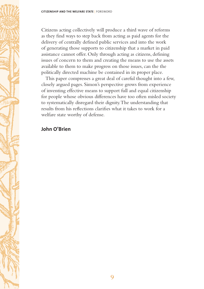Citizens acting collectively will produce a third wave of reforms as they find ways to step back from acting as paid agents for the delivery of centrally defined public services and into the work of generating those supports to citizenship that a market in paid assistance cannot offer. Only through acting as citizens, defining issues of concern to them and creating the means to use the assets available to them to make progress on those issues, can the the politically directed machine be contained in its proper place.

This paper compresses a great deal of careful thought into a few, closely argued pages. Simon's perspective grows from experience of inventing effective means to support full and equal citizenship for people whose obvious differences have too often misled society to systematically disregard their dignity. The understanding that results from his reflections clarifies what it takes to work for a welfare state worthy of defense.

#### **John O'Brien**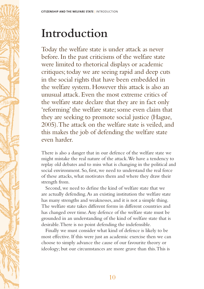## <span id="page-9-0"></span>**Introduction**

Today the welfare state is under attack as never before. In the past criticisms of the welfare state were limited to rhetorical displays or academic critiques; today we are seeing rapid and deep cuts in the social rights that have been embedded in the welfare system. However this attack is also an unusual attack. Even the most extreme critics of the welfare state declare that they are in fact only 'reforming' the welfare state; some even claim that they are seeking to promote social justice (Hague, 2005). The attack on the welfare state is veiled, and this makes the job of defending the welfare state even harder.

There is also a danger that in our defence of the welfare state we might mistake the real nature of the attack. We have a tendency to replay old debates and to miss what is changing in the political and social environment. So, first, we need to understand the real force of these attacks, what motivates them and where they draw their strength from.

Second, we need to define the kind of welfare state that we are actually defending. As an existing institution the welfare state has many strengths and weaknesses, and it is not a simple thing. The welfare state takes different forms in different countries and has changed over time. Any defence of the welfare state must be grounded in an understanding of the kind of welfare state that is desirable. There is no point defending the indefensible.

Finally we must consider what kind of defence is likely to be most effective. If this were just an academic exercise then we can choose to simply advance the cause of our favourite theory or ideology; but our circumstances are more grave than this. This is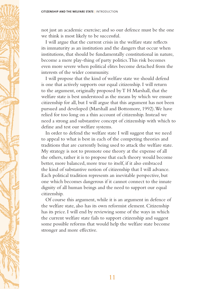not just an academic exercise; and so our defence must be the one we think is most likely to be successful.

I will argue that the current crisis in the welfare state reflects its immaturity as an institution and the dangers that occur when institutions, that should be fundamentally constitutional in nature, become a mere play-thing of party politics. This risk becomes even more severe when political elites become detached from the interests of the wider community.

I will propose that the kind of welfare state we should defend is one that actively supports our equal citizenship. I will return to the argument, originally proposed by T H Marshall, that the welfare state is best understood as the means by which we ensure citizenship for all, but I will argue that this argument has not been pursued and developed (Marshall and Bottomore, 1992). We have relied for too long on a thin account of citizenship. Instead we need a strong and substantive concept of citizenship with which to define and test our welfare systems.

In order to defend the welfare state I will suggest that we need to appeal to what is best in each of the competing theories and traditions that are currently being used to attack the welfare state. My strategy is not to promote one theory at the expense of all the others, rather it is to propose that each theory would become better, more balanced, more true to itself, if it also embraced the kind of substantive notion of citizenship that I will advance. Each political tradition represents an inevitable perspective, but one which becomes dangerous if it cannot connect to the innate dignity of all human beings and the need to support our equal citizenship.

Of course this argument, while it is an argument in defence of the welfare state, also has its own reformist element. Citizenship has its price. I will end by reviewing some of the ways in which the current welfare state fails to support citizenship and suggest some possible reforms that would help the welfare state become stronger and more effective.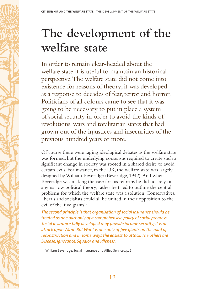# <span id="page-11-0"></span>**The development of the welfare state**

In order to remain clear-headed about the welfare state it is useful to maintain an historical perspective. The welfare state did not come into existence for reasons of theory; it was developed as a response to decades of fear, terror and horror. Politicians of all colours came to see that it was going to be necessary to put in place a system of social security in order to avoid the kinds of revolutions, wars and totalitarian states that had grown out of the injustices and insecurities of the previous hundred years or more.

Of course there were raging ideological debates as the welfare state was formed; but the underlying consensus required to create such a significant change in society was rooted in a shared desire to avoid certain evils. For instance, in the UK, the welfare state was largely designed by William Beveridge (Beveridge, 1942). And when Beveridge was making the case for his reforms he did not rely on any narrow political theory; rather he tried to outline the central problems for which the welfare state was a solution. Conservatives, liberals and socialists could all be united in their opposition to the evil of the 'five giants':

*The second principle is that organisation of social insurance should be treated as one part only of a comprehensive policy of social progress. Social insurance fully developed may provide income security; it is an attack upon Want. But Want is one only of five giants on the road of reconstruction and in some ways the easiest to attack. The others are Disease, Ignorance, Squalor and Idleness.*

William Beveridge, Social Insurance and Allied Services, p. 6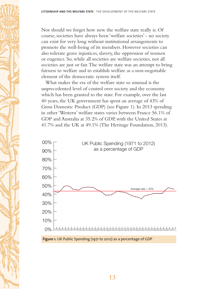Nor should we forget how new the welfare state really is. Of course, societies have always been 'welfare societies' - no society can exist for very long without institutional arrangements to promote the well-being of its members. However societies can also tolerate grave injustices, slavery, the oppression of women or eugenics. So, while all societies are welfare societies, not all societies are just or fair. The welfare state was an attempt to bring fairness to welfare and to establish welfare as a non-negotiable element of the democratic system itself.

What makes the era of the welfare state so unusual is the unprecedented level of control over society and the economy which has been granted to the state. For example, over the last 40 years, the UK government has spent an average of 43% of Gross Domestic Product (GDP) (see Figure 1). In 2013 spending in other 'Western' welfare states varies between France 56.1% of GDP and Australia at 35.2% of GDP, with the United States at 41.7% and the UK at 49.1% (The Heritage Foundation, 2013).



**Figure 1.** UK Public Spending (1971 to 2012) as a percentage of GDP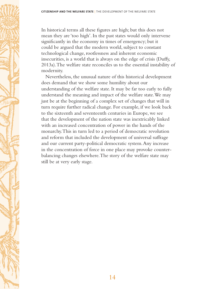In historical terms all these figures are high; but this does not mean they are 'too high'. In the past states would only intervene significantly in the economy in times of emergency; but it could be argued that the modern world, subject to constant technological change, rootlessness and inherent economic insecurities, is a world that is always on the edge of crisis (Duffy, 2013a). The welfare state reconciles us to the essential instability of modernity.

Nevertheless, the unusual nature of this historical development does demand that we show some humility about our understanding of the welfare state. It may be far too early to fully understand the meaning and impact of the welfare state. We may just be at the beginning of a complex set of changes that will in turn require further radical change. For example, if we look back to the sixteenth and seventeenth centuries in Europe, we see that the development of the nation state was inextricably linked with an increased concentration of power in the hands of the monarchy. This in turn led to a period of democratic revolution and reform that included the development of universal suffrage and our current party-political democratic system. Any increase in the concentration of force in one place may provoke counterbalancing changes elsewhere. The story of the welfare state may still be at very early stage.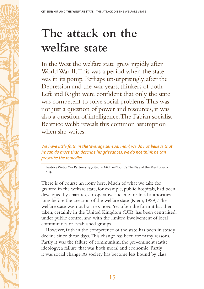## <span id="page-14-0"></span>**The attack on the welfare state**

In the West the welfare state grew rapidly after World War II. This was a period when the state was in its pomp. Perhaps unsurprisingly, after the Depression and the war years, thinkers of both Left and Right were confident that only the state was competent to solve social problems. This was not just a question of power and resources, it was also a question of intelligence. The Fabian socialist Beatrice Webb reveals this common assumption when she writes:

#### *We have little faith in the 'average sensual man', we do not believe that he can do more than describe his grievances, we do not think he can prescribe the remedies*

Beatrice Webb, Our Partnership, cited in Michael Young's The Rise of the Meritocracy p. 136

There is of course an irony here. Much of what we take for granted in the welfare state, for example, public hospitals, had been developed by charities, co-operative societies or local authorities long before the creation of the welfare state (Klein, 1989). The welfare state was not born ex novo. Yet often the form it has then taken, certainly in the United Kingdom (UK), has been centralised, under public control and with the limited involvement of local communities or established groups.

However, faith in the competence of the state has been in steady decline since those days. This change has been for many reasons. Partly it was the failure of communism, the pre-eminent statist ideology; a failure that was both moral and economic. Partly it was social change. As society has become less bound by class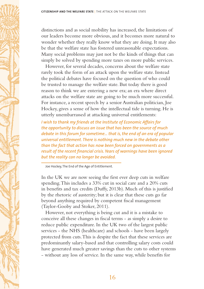distinctions and as social mobility has increased, the limitations of our leaders become more obvious, and it becomes more natural to wonder whether they really know what they are doing. It may also be that the welfare state has fostered unreasonable expectations. Many social problems may just not be the kinds of things that can simply be solved by spending more taxes on more public services.

However, for several decades, concerns about the welfare state rarely took the form of an attack upon the welfare state. Instead the political debates have focused on the question of who could be trusted to manage the welfare state. But today there is good reason to think we are entering a new era; an era where direct attacks on the welfare state are going to be much more successful. For instance, a recent speech by a senior Australian politician, Joe Hockey, gives a sense of how the intellectual tide is turning. He is utterly unembarrassed at attacking universal entitlements:

*I wish to thank my friends at the Institute of Economic Affairs for the opportunity to discuss an issue that has been the source of much debate in this forum for sometime… that is, the end of an era of popular universal entitlement. There is nothing much new in the debate other than the fact that action has now been forced on governments as a result of the recent financial crisis. Years of warnings have been ignored but the reality can no longer be avoided.*

Joe Hockey, The End of the Age of Entitlement.

In the UK we are now seeing the first ever deep cuts in welfare spending. This includes a 33% cut in social care and a 20% cuts in benefits and tax credits (Duffy, 2013b). Much of this is justified by the rhetoric of austerity; but it is clear that these cuts go far beyond anything required by competent fiscal management (Taylor-Gooby and Stoker, 2011).

However, not everything is being cut and it is a mistake to conceive all these changes in fiscal terms - as simply a desire to reduce public expenditure. In the UK two of the largest public services - the NHS (healthcare) and schools - have been largely protected from cuts. This is despite the fact that these services are predominantly salary-based and that controlling salary costs could have generated much greater savings than the cuts to other systems - without any loss of service. In the same way, while benefits for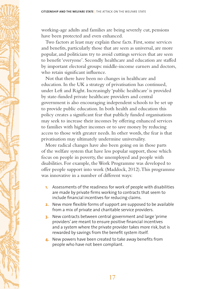working-age adults and families are being severely cut, pensions have been protected and even enhanced.

Two factors at least may explain these facts. First, some services and benefits, particularly those that are seen as universal, are more popular, and politicians try to avoid cuttings services that are seen to benefit 'everyone'. Secondly healthcare and education are staffed by important electoral groups: middle-income earners and doctors, who retain significant influence.

Not that there have been no changes in healthcare and education. In the UK a strategy of privatisation has continued, under Left and Right. Increasingly 'public healthcare' is provided by state-funded private healthcare providers and central government is also encouraging independent schools to be set up to provide public education. In both health and education this policy creates a significant fear that publicly funded organisations may seek to increase their incomes by offering enhanced services to families with higher incomes or to save money by reducing access to those with greater needs. In other words, the fear is that privatisation may ultimately undermine universality.

More radical changes have also been going on in those parts of the welfare system that have less popular support, those which focus on people in poverty, the unemployed and people with disabilities. For example, the Work Programme was developed to offer people support into work (Maddock, 2012). This programme was innovative in a number of different ways:

- **1.** Assessments of the readiness for work of people with disabilities are made by private firms working to contracts that seem to include financial incentives for reducing claims.
- **2.** New more flexible forms of support are supposed to be available from a mix of private and charitable service providers.
- **3.** New contracts between central government and large 'prime providers' are meant to ensure positive financial incentives and a system where the private provider takes more risk, but is rewarded by savings from the benefit system itself.
- **4.** New powers have been created to take away benefits from people who have not been compliant.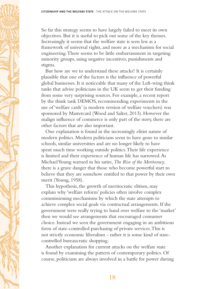#### **CITIZENSHIP AND THE WELFARE STATE** | The attack on the welfare state

So far this strategy seems to have largely failed to meet its own objectives. But it is useful to pick out some of the key themes. Increasingly it seems that the welfare state is seen less as a framework of universal rights, and more as a mechanism for social engineering. There seems to be little embarrassment in targeting minority groups, using negative incentives, punishments and stigma.

But how are we to understand these attacks? It is certainly plausible that one of the factors is the influence of powerful global businesses. It is noticeable that many of the Left-wing think tanks that advise politicians in the UK seem to get their funding from some very surprising sources. For example, a recent report by the think tank DEMOS, recommending experiments in the use of 'welfare cards' (a modern version of welfare vouchers) was sponsored by Mastercard (Wood and Salter, 2013). However the malign influence of commerce is only part of the story, there are other factors that are also important.

One explanation is found in the increasingly elitist nature of modern politics. Modern politicians seem to have gone to similar schools, similar universities and are no longer likely to have spent much time working outside politics. Their life experience is limited and their experience of human life has narrowed. As Michael Young warned in his satire, *The Rise of the Meritocracy*, there is a grave danger that those who become powerful start to believe that they are somehow entitled to that power by their own merit (Young, 1958).

This hypothesis, the growth of meritocratic elitism, may explain why 'welfare reform' policies often involve complex commissioning mechanisms by which the state attempts to achieve complex social goals via contractual arrangements. If the government were really trying to hand over welfare to the 'market' then we would see arrangements that encouraged consumer choice. Instead we seen the government engaging in an ambitious form of state-controlled purchasing of private services. This is not strictly economic liberalism - rather it is some kind of statecontrolled bureaucratic shopping.

Another explanation for current attacks on the welfare state is found by examining the pattern of contemporary politics. Of course, politicians are always involved in a battle for power during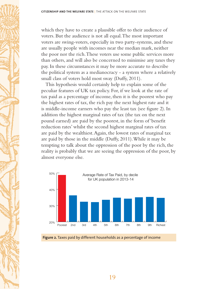which they have to create a plausible offer to their audience of voters. But the audience is not all equal. The most important voters are swing-voters, especially in two party-systems, and these are usually people with incomes near the median mark, neither the poor nor the rich. These voters use some public services more than others, and will also be concerned to minimise any taxes they pay. In these circumstances it may be more accurate to describe the political system as a medianocracy - a system where a relatively small class of voters hold most sway (Duffy, 2011).

This hypothesis would certainly help to explain some of the peculiar features of UK tax policy. For, if we look at the rate of tax paid as a percentage of income, then it is the poorest who pay the highest rates of tax, the rich pay the next highest rate and it is middle-income earners who pay the least tax (see figure 2). In addition the highest marginal rates of tax (the tax on the next pound earned) are paid by the poorest, in the form of 'benefit reduction rates' whilst the second highest marginal rates of tax are paid by the wealthiest. Again, the lowest rates of marginal tax are paid by those in the middle (Duffy, 2011). While it may be tempting to talk about the oppression of the poor by the rich, the reality is probably that we are seeing the oppression of the poor, by almost everyone else.



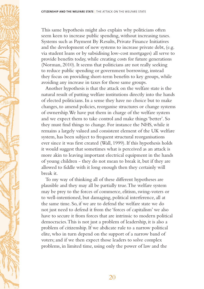This same hypothesis might also explain why politicians often seem keen to increase public spending, without increasing taxes. Systems such as Payment By Results, Private Finance Initiatives and the development of new systems to increase private debt, (e.g. via student loans or by subsidising low-cost mortgages) all serve to provide benefits today, while creating costs for future generations (Norman, 2010). It seems that politicians are not really seeking to reduce public spending or government borrowing, instead they focus on providing short-term benefits to key groups, while avoiding any increase in taxes for those same groups.

Another hypothesis is that the attack on the welfare state is the natural result of putting welfare institutions directly into the hands of elected politicians. In a sense they have no choice but to make changes, to amend policies, reorganise structures or change systems of ownership. We have put them in charge of the welfare system and we expect them to take control and make things 'better'. So they must find things to change. For instance the NHS, while it remains a largely valued and consistent element of the UK welfare system, has been subject to frequent structural reorganisations ever since it was first created (Wall, 1999). If this hypothesis holds it would suggest that sometimes what is perceived as an attack is more akin to leaving important electrical equipment in the hands of young children - they do not mean to break it, but if they are allowed to fiddle with it long enough then they certainly will break it.

To my way of thinking all of these different hypotheses are plausible and they may all be partially true. The welfare system may be prey to the forces of commerce, elitism, swing-voters or to well-intentioned, but damaging, political interference, all at the same time. So, if we are to defend the welfare state we do not just need to defend it from the 'forces of capitalism' we also have to secure it from forces that are intrinsic to modern political democracies. This is not just a problem of leadership, it is also a problem of citizenship. If we abdicate rule to a narrow political elite, who in turn depend on the support of a narrow band of voters; and if we then expect those leaders to solve complex problems, in limited time, using only the power of law and the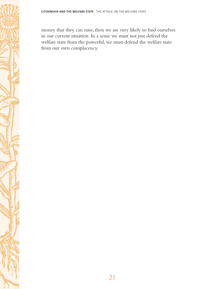money that they can raise, then we are very likely to find ourselves in our current situation. In a sense we must not just defend the welfare state from the powerful, we must defend the welfare state from our own complacency.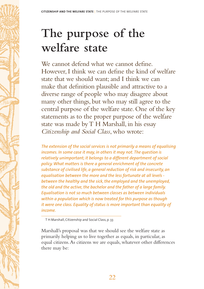# <span id="page-21-0"></span>**The purpose of the welfare state**

We cannot defend what we cannot define. However, I think we can define the kind of welfare state that we should want; and I think we can make that definition plausible and attractive to a diverse range of people who may disagree about many other things, but who may still agree to the central purpose of the welfare state. One of the key statements as to the proper purpose of the welfare state was made by T H Marshall, in his essay *Citizenship and Social Class*, who wrote:

*The extension of the social services is not primarily a means of equalising incomes. In some case it may, in others it may not. The question is relatively unimportant; it belongs to a different department of social policy. What matters is there a general enrichment of the concrete substance of civilised life, a general reduction of risk and insecurity, an equalisation between the more and the less fortunate at all levels between the healthy and the sick, the employed and the unemployed, the old and the active, the bachelor and the father of a large family. Equalisation is not so much between classes as between individuals within a population which is now treated for this purpose as though it were one class. Equality of status is more important than equality of income.*

T H Marshall, Citizenship and Social Class, p. 33

Marshall's proposal was that we should see the welfare state as primarily helping us to live together as equals, in particular, as equal citizens. As citizens we are equals, whatever other differences there may be: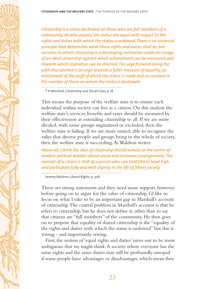*Citizenship is a status bestowed on those who are full members of a community. All who possess the status are equal with respect to the rights and duties with which the status is endowed. There is no universal principle that determines what those rights and duties shall be, but societies in which citizenship is a developing institution create an image of an ideal citizenship against which achievement can be measured and towards which aspiration can be directed. The urge forward along the path thus plotted is an urge towards a fuller measure of equality, an enrichment of the stuff of which the status is made and an increase in the number of those on whom the status is bestowed.*

T H Marshall, Citizenship and Social Class, p. 18

This means the purpose of the welfare state is to ensure each individual within society can live as a citizen. On this analysis the welfare state's services, benefits and taxes should be measured by their effectiveness at extending citizenship to all. If we are more divided, with some groups stigmatised or excluded, then the welfare state is failing. If we are more united, able to recognise the value that diverse people and groups bring to the whole of society, then the welfare state is succeeding. As Waldron writes:

*Above all, I think the idea of citizenship should remain at the centre of modern political debates about social and economic arrangements. The concept of a citizen is that of a person who can hold [their] head high and participate fully and with dignity in the life of [their] society.*

Jeremy Waldron, Liberal Rights, p. 308

These are strong statements and they need more support, however before going on to argue for the value of citizenship, I'd like to focus on what I take to be an important gap in Marshall's account of citizenship. The central problem in Marshall's account is that he refers to citizenship, but he does not define it, other than to say that citizens are "full members" of the community. He then goes on to propose that equality of shared citizenship is the "equality of the rights and duties with which the status is endowed" but this is wrong - and importantly wrong.

First, the notion of 'equal rights and duties' turns out to be more ambiguous that we might think. A society where everyone has the same rights and the same duties may still be profoundly unequal if some people have advantages or disadvantages which mean they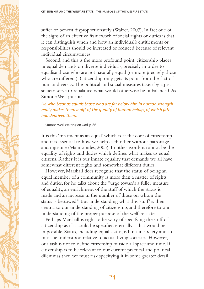suffer or benefit disproportionately (Walzer, 2007). In fact one of the signs of an effective framework of social rights or duties is that it can distinguish when and how an individual's entitlements or responsibilities should be increased or reduced because of relevant individual circumstances.

Second, and this is the more profound point, citizenship places unequal demands on diverse individuals, precisely in order to equalise those who are not naturally equal (or more precisely, those who are different). Citizenship only gets its point from the fact of human diversity. The political and social measures taken by a just society serve to rebalance what would otherwise be unbalanced. As Simone Weil puts it:

*He who treat as equals those who are far below him in human strength really makes them a gift of the quality of human beings, of which fate had deprived them.*

Simone Weil, Waiting on God, p. 86

It is this 'treatment as an equal' which is at the core of citizenship and it is essential to how we help each other without patronage and injustice (Maimonides, 2005). In other words it cannot be the equality of rights and duties which defines what makes us equal citizens. Rather it is our innate equality that demands we all have somewhat different rights and somewhat different duties.

However, Marshall does recognise that the status of being an equal member of a community is more than a matter of rights and duties, for he talks about the "urge towards a fuller measure of equality, an enrichment of the stuff of which the status is made and an increase in the number of those on whom the status is bestowed." But understanding what this 'stuff' is then central to our understanding of citizenship, and therefore to our understanding of the proper purpose of the welfare state.

Perhaps Marshall is right to be wary of specifying the stuff of citizenship as if it could be specified eternally - that would be impossible. Status, including equal status, is built in society and so must be understood relative to actual living societies. However, our task is not to define citizenship outside all space and time. If citizenship is to be relevant to our current practical and political dilemmas then we must risk specifying it in some greater detail.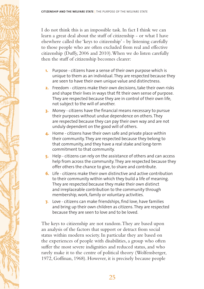I do not think this is an impossible task. In fact I think we can learn a great deal about the stuff of citizenship - or what I have elsewhere called the 'keys to citizenship' - by listening carefully to those people who are often excluded from real and effective citizenship (Duffy, 2006 and 2010). When we do listen carefully then the stuff of citizenship becomes clearer:

- **1.** Purpose citizens have a sense of their own purpose which is unique to them as an individual. They are respected because they are seen to have their own unique value and distinctness.
- **2.** Freedom citizens make their own decisions, take their own risks and shape their lives in ways that fit their own sense of purpose. They are respected because they are in control of their own life, not subject to the will of another.
- **3.** Money citizens have the financial means necessary to pursue their purposes without undue dependence on others. They are respected because they can pay their own way and are not unduly dependent on the good will of others.
- **4.** Home citizens have their own safe and private place within their community. They are respected because they belong to that community, and they have a real stake and long-term commitment to that community.
- **5.** Help citizens can rely on the assistance of others and can access help from across the community. They are respected because they offer others the chance to give, to share and contribute.
- **6.** Life citizens make their own distinctive and active contribution to their community within which they build a life of meaning. They are respected because they make their own distinct and irreplaceable contribution to the community through membership, work, family or voluntary activities.
- **7.** Love citizens can make friendships, find love, have families and bring up their own children as citizens. They are respected because they are seen to love and to be loved.

The keys to citizenship are not random. They are based upon an analysis of the factors that support or detract from social status within modern society. In particular they are based on the experiences of people with disabilities, a group who often suffer the most severe indignities and reduced status, and who rarely make it to the centre of political theory (Wolfensberger, 1972, Goffman, 1968). However, it is precisely because people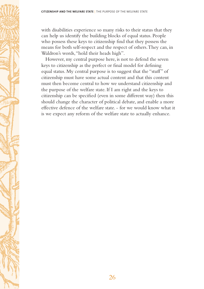with disabilities experience so many risks to their status that they can help us identify the building blocks of equal status. People who possess these keys to citizenship find that they possess the means for both self-respect and the respect of others. They can, in Waldron's words, "hold their heads high".

However, my central purpose here, is not to defend the seven keys to citizenship as the perfect or final model for defining equal status. My central purpose is to suggest that the "stuff" of citizenship must have some actual content and that this content must then become central to how we understand citizenship and the purpose of the welfare state. If I am right and the keys to citizenship can be specified (even in some different way) then this should change the character of political debate, and enable a more effective defence of the welfare state. - for we would know what it is we expect any reform of the welfare state to actually enhance.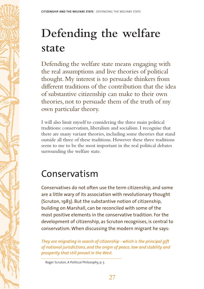# <span id="page-26-0"></span>**Defending the welfare state**

Defending the welfare state means engaging with the real assumptions and live theories of political thought. My interest is to persuade thinkers from different traditions of the contribution that the idea of substantive citizenship can make to their own theories, not to persuade them of the truth of my own particular theory.

I will also limit myself to considering the three main political traditions: conservatism, liberalism and socialism. I recognise that there are many variant theories, including some theories that stand outside all three of these traditions. However these three traditions seem to me to be the most important in the real political debates surrounding the welfare state.

### Conservatism

Conservatives do not often use the term citizenship, and some are a little wary of its association with revolutionary thought (Scruton, 1983). But the substantive notion of citizenship, building on Marshall, can be reconciled with some of the most positive elements in the conservative tradition. For the development of citizenship, as Scruton recognises, is central to conservatism. When discussing the modern migrant he says:

*They are migrating in search of citizenship - which is the principal gift of national jurisdictions, and the origin of peace, law and stability and prosperity that still prevail in the West.*

Roger Scruton, A Political Philosophy, p. 5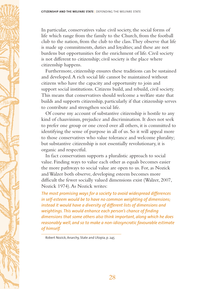In particular, conservatives value civil society, the social forms of life which range from the family to the Church, from the football club to the nation, from the club to the class. They observe that life is made up commitments, duties and loyalties; and these are not burdens but opportunities for the enrichment of life. Civil society is not different to citizenship; civil society is the place where citizenship happens.

Furthermore, citizenship ensures these traditions can be sustained and developed. A rich social life cannot be maintained without citizens who have the capacity and opportunity to join and support social institutions. Citizens build, and rebuild, civil society. This means that conservatives should welcome a welfare state that builds and supports citizenship, particularly if that citizenship serves to contribute and strengthen social life.

Of course my account of substantive citizenship is hostile to any kind of chauvinism, prejudice and discrimination. It does not seek to prefer one group or one creed over all others, it is committed to identifying the sense of purpose in all of us. So it will appeal more to those conservatives who value tolerance and welcome plurality; but substantive citizenship is not essentially revolutionary, it is organic and respectful.

In fact conservatism supports a pluralistic approach to social value. Finding ways to value each other as equals becomes easier the more pathways to social value are open to us. For, as Nozick and Walzer both observe, developing esteem becomes more difficult the fewer socially valued dimensions exist (Walzer, 2007, Nozick 1974). As Nozick writes:

*The most promising ways for a society to avoid widespread differences in self-esteem would be to have no common weighting of dimensions; instead it would have a diversity of different lists of dimensions and weightings. This would enhance each person's chance of finding dimensions that some others also think important, along which he does reasonably well, and so to make a non-idiosyncratic favourable estimate of himself.*

Robert Nozick, Anarchy, State and Utopia, p. 245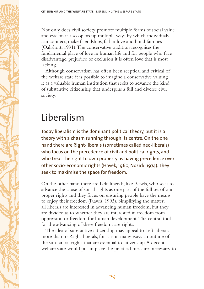#### **CITIZENSHIP AND THE WELFARE STATE** | Defending the welfare state

Not only does civil society promote multiple forms of social value and esteem it also opens up multiple ways by which individuals can connect, make friendships, fall in love and build families (Oakshott, 1991). The conservative tradition recognises the fundamental place of love in human life and for people who face disadvantage, prejudice or exclusion it is often love that is most lacking.

Although conservatism has often been sceptical and critical of the welfare state it is possible to imagine a conservative valuing it as a valuable human institution that seeks to advance the kind of substantive citizenship that underpins a full and diverse civil society.

### **Liberalism**

Today liberalism is the dominant political theory, but it is a theory with a chasm running through its centre. On the one hand there are Right-liberals (sometimes called neo-liberals) who focus on the precedence of civil and political rights, and who treat the right to own property as having precedence over other socio-economic rights (Hayek, 1960, Nozick, 1974). They seek to maximise the space for freedom.

On the other hand there are Left-liberals, like Rawls, who seek to advance the cause of social rights as one part of the full set of our proper rights and they focus on ensuring people have the means to enjoy their freedom (Rawls, 1993). Simplifying the matter, all liberals are interested in advancing human freedom, but they are divided as to whether they are interested in freedom from oppression or freedom for human development. The central tool for the advancing of these freedoms are rights.

The idea of substantive citizenship may appeal to Left-liberals more than to Right-liberals, for it is in many ways an outline of the substantial rights that are essential to citizenship. A decent welfare state would put in place the practical measures necessary to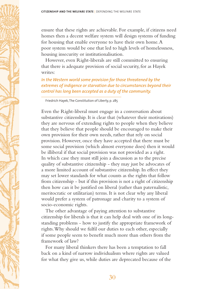ensure that these rights are achievable. For example, if citizens need homes then a decent welfare system will design systems of funding for housing that enable everyone to have their own home. A poor system would be one that led to high levels of homelessness, housing insecurity or institutionalisation.

However, even Right-liberals are still committed to ensuring that there is adequate provision of social security, for as Hayek writes:

*In the Western world some provision for those threatened by the extremes of indigence or starvation due to circumstances beyond their control has long been accepted as a duty of the community.*

Friedrich Hayek, The Constitution of Liberty, p. 285

Even the Right-liberal must engage in a conversation about substantive citizenship. It is clear that (whatever their motivations) they are nervous of extending rights to people when they believe that they believe that people should be encouraged to make their own provision for their own needs, rather that rely on social provision. However, once they have accepted that there must be some social provision (which almost everyone does) then it would be illiberal if that social provision was not provided as a right. In which case they must still join a discussion as to the precise quality of substantive citizenship - they may just be advocates of a more limited account of substantive citizenship. In effect they may set lower standards for what counts as the rights that follow from citizenship - but if this provision is not a right of citizenship then how can it be justified on liberal (rather than paternalistic, meritocratic or utilitarian) terms. It is not clear why any liberal would prefer a system of patronage and charity to a system of socio-economic rights.

The other advantage of paying attention to substantive citizenship for liberals is that it can help deal with one of its longstanding problems - how to justify the appropriate framework of rights. Why should we fulfil our duties to each other, especially if some people seem to benefit much more than others from the framework of law?

For many liberal thinkers there has been a temptation to fall back on a kind of narrow individualism where rights are valued for what they give us, while duties are deprecated because of the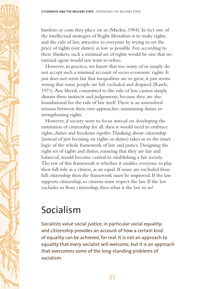burdens or costs they place on us (Mackie, 1984). In fact one of the intellectual strategies of Right-liberalism is to make rights, and the rule of law, attractive to everyone by trying to set the price of rights (our duties) as low as possible. For, according to these thinkers, such a minimal set of rights would be one that no rational agent would not want to refuse.

However, in practice, we know that too many of us simply do not accept such a minimal account of socio-economic rights. It just does not seem fair that inequalities are so great, it just seems wrong that some people are left excluded and despised (Rawls, 1971). Any liberal, committed to the rule of law, cannot simply dismiss these instincts and judgements, because they are also foundational for the rule of law itself. There is an unresolved tension between these two approaches: minimising duties or strengthening rights.

However, if society were to focus instead on developing the institution of citizenship for all, then it would need to embrace rights, duties and freedoms *together*. Thinking about citizenship (instead of just focusing on rights or duties) takes us to the inner logic of the whole framework of law and justice. Designing the right set of rights and duties, ensuring that they are fair and balanced, would become central to establishing a fair society. The test of this framework is whether it enables everyone to play their full role as a citizen, as an equal. If some are excluded from full citizenship then the framework must be improved. If the law supports citizenship, so citizens must respect the law. If the law excludes us from citizenship, then what is the law to us?

### Socialism

Socialists value social justice, in particular social equality; and citizenship provides an account of how a certain kind of equality can be achieved, for real. It is not an approach to equality that every socialist will welcome, but it is an approach that overcomes some of the long-standing problems of socialism.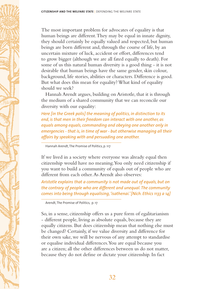The most important problem for advocates of equality is that human beings are different. They may be equal in innate dignity, they should certainly be equally valued and respected, but human beings are born different and, through the course of life, by an uncertain mixture of luck, accident or effort, differences tend to grow bigger (although we are all fated equally to death). For some of us this natural human diversity is a good thing - it is not desirable that human beings have the same gender, skin colour, background, life stories, abilities or characters. Difference is good. But what does this mean for equality? What kind of equality should we seek?

Hannah Arendt argues, building on Aristotle, that it is through the medium of a shared community that we can reconcile our diversity with our equality:

*Here [in the Greek polis] the meaning of politics, in distinction to its end, is that men in their freedom can interact with one another, as equals among equals, commanding and obeying one another only in emergencies - that is, in time of war - but otherwise managing all their affairs by speaking with and persuading one another.*

Hannah Arendt, The Promise of Politics, p. 117

If we lived in a society where everyone was already equal then citizenship would have no meaning. You only need citizenship if you want to build a community of equals out of people who are different from each other. As Arendt also observes:

*Aristotle explains that a community is not made out of equals, but on the contrary of people who are different and unequal. The community comes into being through equalising, 'isathenai.' [Nich. Ethics 1133 a 14]* 

Arendt, The Promise of Politics, p. 17

So, in a sense, citizenship offers us a pure form of egalitarianism - different people, living as absolute equals, because they are equally citizens. But does citizenship mean that nothing else must be changed? Certainly, if we value diversity and difference for their own sake, we will be nervous of any attempt to standardise or equalise individual differences. You are equal because you are a citizen; all the other differences between us do not matter, because they do not define or dictate your citizenship. In fact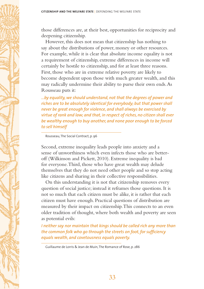those differences are, at their best, opportunities for reciprocity and deepening citizenship.

However, this does not mean that citizenship has nothing to say about the distributions of power, money or other resources. For example, while it is clear that absolute income equality is not a requirement of citizenship, extreme differences in income will certainly be hostile to citizenship, and for at least three reasons. First, those who are in extreme relative poverty are likely to become dependent upon those with much greater wealth, and this may radically undermine their ability to purse their own ends. As Rousseau puts it:

*...by equality, we should understand, not that the degrees of power and riches are to be absolutely identical for everybody; but that power shall never be great enough for violence, and shall always be exercised by virtue of rank and law; and that, in respect of riches, no citizen shall ever be wealthy enough to buy another, and none poor enough to be forced to sell himself*

Rousseau, The Social Contract, p. 96

Second, extreme inequality leads people into anxiety and a sense of unworthiness which even infects those who are betteroff (Wilkinson and Pickett, 2010). Extreme inequality is bad for everyone. Third, those who have great wealth may delude themselves that they do not need other people and so stop acting like citizens and sharing in their collective responsibilities.

On this understanding it is not that citizenship removes every question of social justice; instead it reframes those questions. It is not so much that each citizen must be alike, it is rather that each citizen must have enough. Practical questions of distribution are measured by their impact on citizenship. This connects to an even older tradition of thought, where both wealth and poverty are seen as potential evils:

*I neither say nor maintain that kings should be called rich any more than the common folk who go through the streets on foot, for sufficiency equals wealth, and covetousness equals poverty.*

Guillaume de Lorris & Jean de Muin, The Romance of Rose, p. 286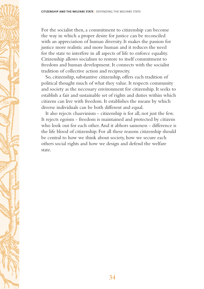For the socialist then, a commitment to citizenship can become the way in which a proper desire for justice can be reconciled with an appreciation of human diversity. It makes the passion for justice more realistic and more human and it reduces the need for the state to interfere in all aspects of life to enforce equality. Citizenship allows socialism to restore to itself commitment to freedom and human development. It connects with the socialist tradition of collective action and reciprocity.

So, citizenship, substantive citizenship, offers each tradition of political thought much of what they value. It respects community and society as the necessary environment for citizenship. It seeks to establish a fair and sustainable set of rights and duties within which citizens can live with freedom. It establishes the means by which diverse individuals can be both different and equal.

It also rejects chauvinism - citizenship is for all, not just the few. It rejects egoism - freedom is maintained and protected by citizens who look out for each other. And it abhors sameness - difference is the life blood of citizenship. For all these reasons citizenship should be central to how we think about society, how we secure each others social rights and how we design and defend the welfare state.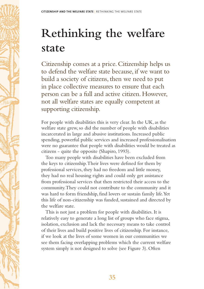# <span id="page-34-0"></span>**Rethinking the welfare state**

Citizenship comes at a price. Citizenship helps us to defend the welfare state because, if we want to build a society of citizens, then we need to put in place collective measures to ensure that each person can be a full and active citizen. However, not all welfare states are equally competent at supporting citizenship.

For people with disabilities this is very clear. In the UK, as the welfare state grew, so did the number of people with disabilities incarcerated in large and abusive institutions. Increased public spending, powerful public services and increased professionalisation were no guarantee that people with disabilities would be treated as citizens - quite the opposite (Shapiro, 1993).

Too many people with disabilities have been excluded from the keys to citizenship. Their lives were defined for them by professional services, they had no freedom and little money, they had no real housing rights and could only get assistance from professional services that then restricted their access to the community. They could not contribute to the community and it was hard to form friendship, find lovers or sustain family life. Yet this life of non-citizenship was funded, sustained and directed by the welfare state.

This is not just a problem for people with disabilities. It is relatively easy to generate a long list of groups who face stigma, isolation, exclusion and lack the necessary means to take control of their lives and build positive lives of citizenship. For instance, if we look at the lives of some women in our communities we see them facing overlapping problems which the current welfare system simply is not designed to solve (see Figure 3). Often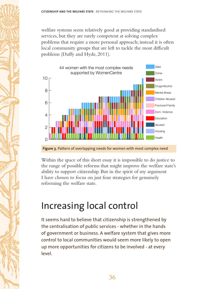welfare systems seem relatively good at providing standardised services, but they are rarely competent at solving complex problems that require a more personal approach; instead it is often local community groups that are left to tackle the most difficult problems (Duffy and Hyde, 2011).



**Figure 3.** Pattern of overlapping needs for women with most complex need

Within the space of this short essay it is impossible to do justice to the range of possible reforms that might improve the welfare state's ability to support citizenship. But in the spirit of my argument I have chosen to focus on just four strategies for genuinely reforming the welfare state.

### Increasing local control

It seems hard to believe that citizenship is strengthened by the centralisation of public services - whether in the hands of government or business. A welfare system that gives more control to local communities would seem more likely to open up more opportunities for citizens to be involved - at every level.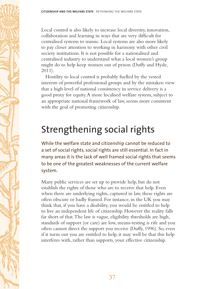Local control is also likely to increase local diversity, innovation, collaboration and learning in ways that are very difficult for centralised systems to mimic. Local systems are also more likely to pay closer attention to working in harmony with other civil society institutions. It is not possible for a nationalised and centralised industry to understand what a local women's group might do to help keep women out of prison (Duffy and Hyde, 2011).

Hostility to local control is probably fuelled by the vested interests of powerful professional groups and by the mistaken view that a high level of national consistency in service delivery is a good proxy for equity. A more localised welfare system, subject to an appropriate national framework of law, seems more consistent with the goal of promoting citizenship.

## Strengthening social rights

While the welfare state and citizenship cannot be reduced to a set of social rights, social rights are still essential. In fact in many areas it is the lack of well framed social rights that seems to be one of the greatest weaknesses of the current welfare system.

Many public services are set up to provide help, but do not establish the rights of those who are to receive that help. Even when there are underlying rights, captured in law, these rights are often obscure or badly framed. For instance, in the UK you may think that, if you have a disability, you would be entitled to help to live an independent life of citizenship. However the reality falls far short of that. The law is vague, eligibility thresholds are high, standards of support (or care) are low, means-testing is rife and you often cannot direct the support you receive (Duffy, 1996). So, even if it turns out you are entitled to help, it may well be that this help interferes with, rather than supports, your effective citizenship.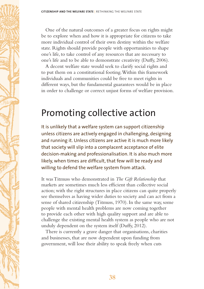One of the natural outcomes of a greater focus on rights might be to explore when and how it is appropriate for citizens to take more individual control of their own destiny within the welfare state. Rights should provide people with opportunities to shape one's life, to take control of any resources that are necessary to one's life and to be able to demonstrate creativity (Duffy, 2006).

A decent welfare state would seek to clarify social rights and to put them on a constitutional footing. Within this framework individuals and communities could be free to meet rights in different ways, but the fundamental guarantees would be in place in order to challenge or correct unjust forms of welfare provision.

### Promoting collective action

It is unlikely that a welfare system can support citizenship unless citizens are actively engaged in challenging, designing and running it. Unless citizens are active it is much more likely that society will slip into a complacent acceptance of elite decision-making and professionalisation. It is also much more likely, when times are difficult, that few will be ready and willing to defend the welfare system from attack.

It was Titmuss who demonstrated in *The Gift Relationship* that markets are sometimes much less efficient than collective social action; with the right structures in place citizens can quite properly see themselves as having wider duties to society and can act from a sense of shared citizenship (Titmuss, 1970). In the same way, some people with mental health problems are now coming together to provide each other with high quality support and are able to challenge the existing mental health system as people who are not unduly dependent on the system itself (Duffy, 2012).

There is currently a grave danger that organisations, charities and businesses, that are now dependent upon funding from government, will lose their ability to speak freely when cuts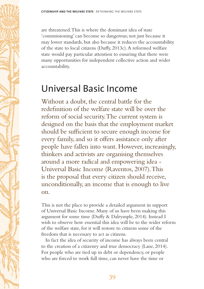are threatened. This is where the dominant idea of state 'commissioning' can become so dangerous; not just because it may lower standards, but also because it reduces the accountability of the state to local citizens (Duffy, 2013c). A reformed welfare state would pay particular attention to ensuring that there were many opportunities for independent collective action and wider accountability.

### Universal Basic Income

Without a doubt, the central battle for the redefinition of the welfare state will be over the reform of social security. The current system is designed on the basis that the employment market should be sufficient to secure enough income for every family, and so it offers assistance only after people have fallen into want. However, increasingly, thinkers and activists are organising themselves around a more radical and empowering idea - Universal Basic Income (Raventos, 2007). This is the proposal that every citizen should receive, unconditionally, an income that is enough to live on.

This is not the place to provide a detailed argument in support of Universal Basic Income. Many of us have been making this argument for some time (Duffy & Dalrymple, 2014). Instead I wish to observe how essential this idea will be to the wider reform of the welfare state, for it will restore to citizens some of the freedom that is necessary to act as citizens.

In fact the idea of security of income has always been central to the creation of a citizenry and true democracy (Lane, 2014). For people who are tied up in debt or dependency, or people who are forced to work full time, can never have the time or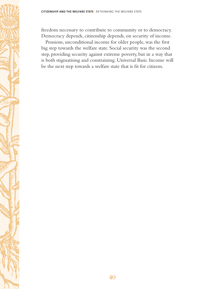#### **CITIZENSHIP AND THE WELFARE STATE** | Rethinking the welfare state

freedom necessary to contribute to community or to democracy. Democracy depends, citizenship depends, on security of income.

Pensions, unconditional income for older people, was the first big step towards the welfare state. Social security was the second step, providing security against extreme poverty, but in a way that is both stigmatising and constraining. Universal Basic Income will be the next step towards a welfare state that is fit for citizens.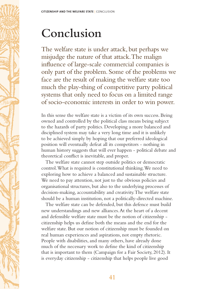## <span id="page-40-0"></span>**Conclusion**

The welfare state is under attack, but perhaps we misjudge the nature of that attack. The malign influence of large-scale commercial companies is only part of the problem. Some of the problems we face are the result of making the welfare state too much the play-thing of competitive party political systems that only need to focus on a limited range of socio-economic interests in order to win power.

In this sense the welfare state is a victim of its own success. Being owned and controlled by the political class means being subject to the hazards of party politics. Developing a more balanced and disciplined system may take a very long time and it is unlikely to be achieved simply by hoping that our preferred ideological position will eventually defeat all its competitors - nothing in human history suggests that will ever happen - political debate and theoretical conflict is inevitable, and proper.

The welfare state cannot step outside politics or democratic control. What is required is constitutional thinking. We need to exploring how to achieve a balanced and sustainable structure. We need to pay attention, not just to the obvious policies and organisational structures, but also to the underlying processes of decision-making, accountability and creativity. The welfare state should be a human institution, not a politically-directed machine.

The welfare state can be defended, but this defence must build new understandings and new alliances. At the heart of a decent and defensible welfare state must be the notion of citizenship citizenship helps us define both the means and the end for the welfare state. But our notion of citizenship must be founded on real human experiences and aspirations, not empty rhetoric. People with disabilities, and many others, have already done much of the necessary work to define the kind of citizenship that is important to them (Campaign for a Fair Society, 2012). It is everyday citizenship - citizenship that helps people live good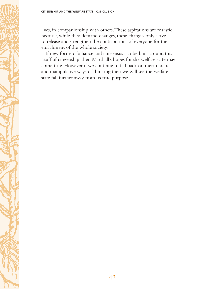lives, in companionship with others. These aspirations are realistic because, while they demand changes, these changes only serve to release and strengthen the contributions of everyone for the enrichment of the whole society.

If new forms of alliance and consensus can be built around this 'stuff of citizenship' then Marshall's hopes for the welfare state may come true. However if we continue to fall back on meritocratic and manipulative ways of thinking then we will see the welfare state fall further away from its true purpose.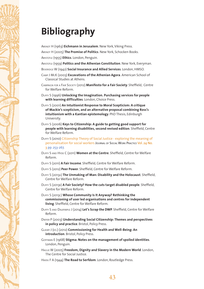## <span id="page-42-0"></span>**Bibliography**

Arendt H (1963) **Eichmann in Jerusalem**. New York, Viking Press.

Arendt H (2005) **The Promise of Politics**. New York, Schocken Books.

Aristotle (1955) **Ethics**. London, Penguin.

- Aristotle (1959) **Politics and the Athenian Constitution**. New York, Everyman. Beveridge W (1942) **Social Insurance and Allied Services**. London, HMSO.
- Camp J McK (2003) **Excavations of the Athenian Agora**. American School of Classical Studies at Athens.
- Campaign for <sup>a</sup> Fair Society (2012) **Manifesto for a Fair Society**. Sheffield, Centre for Welfare Reform.
- Duffy S (1996) **Unlocking the Imagination. Purchasing services for people with learning difficulties**. London, Choice Press.
- Duffy S (2001) **An Intuitionist Response to Moral Scepticism: A critique of Mackie's scepticism, and an alternative proposal combining Ross's intuitionism with a Kantian epistemology**. PhD Thesis, Edinburgh University.
- Duffy S (2006) **Keys to Citizenship: A guide to getting good support for people with learning disabilities, second revised edition**. Sheffield, Centre for Welfare Reform.
- DUFFY S (2010) Citizenship Theory of Social Justice exploring the meaning of personalisation for social workers Journal of Social Work Practice Vol. 24 No. 3 pp. 253-267.
- Duffy S and Hyde C (2011) **Women at the Centre**. Sheffield, Centre for Welfare Reform.
- Duffy S (2011) **A Fair Income**. Sheffield, Centre for Welfare Reform.
- Duffy S (2012) **Peer Power**. Sheffield, Centre for Welfare Reform.
- Duffy S (2013a) **The Unmaking of Man: Disability and the Holocaust**. Sheffield, Centre for Welfare Reform.
- Duffy S (2013b) **A Fair Society? How the cuts target disabled people**. Sheffield, Centre for Welfare Reform.
- Duffy S (2013c) **Whose Community Is It Anyway? Rethinking the commissioning of user led organisations and centres for independent living**. Sheffield, Centre for Welfare Reform.
- Duffy S and Dalrymple J (2014) **Let's Scrap the DWP**. Sheffield, Centre for Welfare Reform.
- Dwyer P (2003) **Understanding Social Citizenship: Themes and perspectives in policy and practice**. Bristol, Policy Press.
- Glasby J (ed.) (2012) **Commissioning for Health and Well-Being: An introduction**. Bristol, Policy Press.
- Goffman E (1968) **Stigma: Notes on the management of spoiled identities**. London, Penguin.
- Hague W (2005) **Freedom, Dignity and Slavery in the Modern World**. London, The Centre for Social Justice.
- Hayek F A (1944) **The Road to Serfdom**. London, Routledge Press.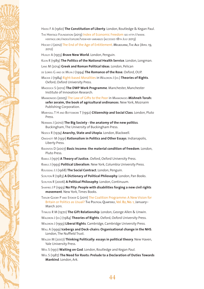Hayek F A (1960) **The Constitution of Liberty**. London, Routledge & Kegan Paul.

- The Heritage Foundation (2013) Index of Economic Freedom see http://www. heritage.org/index/explore?view=by-variables (accessed 18th July 2013)
- HOCKEY J (2012) The End of the Age of Entitlement. MELBOURNE, THE AGE (APRIL 19, 2012)
- Huxley A (1955) **Brave New World**. London, Penguin.
- Klein R (1989) **The Politics of the National Health Service**. London, Longman.
- Lane M (2014) **Greek and Roman Political Ideas**. London, Pelican
- de Lorris G and de Muin J (1994) **The Romance of the Rose**. Oxford, OUP.
- MACKIE J (1984) Right-based Moralities in WALDRON J (ED.) **Theories of Rights.** Oxford, Oxford University Press.
- Maddock S (2012) **The DWP Work Programme**. Manchester, Manchester Institute of Innovation Research.
- Maimonides (2005) The Law of Gifts to the Poor in Maimonides **Mishneh Torah: sefer zeraim, the book of agricultural ordinances**. New York, Moznaim Publishing Corporation.
- Marhsall T H and Bottomore T (1992) **Citizenship and Social Class**. London, Pluto Press.
- Norman J (2010) **The Big Society the anatomy of the new politics**. Buckingham, The University of Buckingham Press.
- Nozick R (1974) **Anarchy, State and Utopia**. London, Blackwell.
- Oakshott M (1991) **Rationalism in Politics and Other Essays**. Indianapolis, Liberty Press.
- Raventos D (2007) **Basic Income: the material condition of freedom**. London, Pluto Press.
- Rawls J (1971) **A Theory of Justice.** Oxford, Oxford University Press.
- Rawls J (1993) **Political Liberalism**. New York, Columbia University Press.
- Rousseau J J (1968) **The Social Contract**. London, Penguin.

Scruton R (1983) **A Dictionary of Political Philosophy**. London, Pan Books.

- Scruton R (2006) **A Political Philosophy**. London, Continuum.
- Shapiro J P (1993) **No Pity: People with disabilities forging a new civil rights movement**. New York, Times Books.

Taylor-Gooby P and Stoker G (2011) The Coalition Programme: A New Vision for Britain or Politics as Usual? The Political Quarterly, Vol. 82, No. 1, January– March 2011.

Titmuss R M (1970) **The Gift Relationship**. London, George Allen & Unwin.

- WALDRON J (ED.) (1984) **Theories of Rights**. Oxford, Oxford University Press.
- Waldron J (1993) **Liberal Rights**. Cambridge, Cambridge University Press.
- Wall A (1999) **Icebergs and Deck-chairs: Organisational change in the NHS**. London, The Nuffield Trust.
- Walzer M (2007) **Thinking Politically: essays in political theory**. New Haven, Yale University Press.

Weil S (1951) **Waiting on God**. London, Routledge and Kegan Paul.

Weil S (1987) **The Need for Roots: Prelude to a Declaration of Duties Towards Mankind**. London, Ark.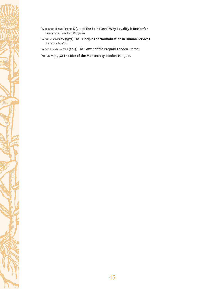- WILKINSON R AND PICKETT K (2010) **The Spirit Level Why Equality is Better for Everyone**. London, Penguin.
- Wolfensberger W (1972) **The Principles of Normalization in Human Services**. Toronto, NIMR.

Wood C and Salter J (2013) **The Power of the Prepaid**. London, Demos.

Young M (1958) **The Rise of the Meritocracy**. London, Penguin.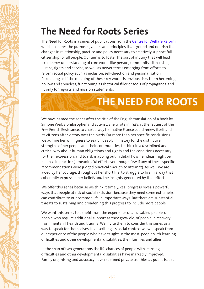### <span id="page-45-0"></span>**The Need for Roots Series**

The Need for Roots is a series of publications from the [Centre for Welfare Reform](http://www.centreforwelfarereform.org) which explores the purposes, values and principles that ground and nourish the changes in relationship, practice and policy necessary to creatively support full citizenship for all people. Our aim is to foster the sort of inquiry that will lead to a deeper understanding of core words like person, community, citizenship, justice, rights and service, as well as newer terms emerging from efforts to reform social policy such as inclusion, self-direction and personalisation. Proceeding as if the meaning of these key words is obvious risks them becoming hollow and spineless, functioning as rhetorical filler or tools of propaganda and fit only for reports and mission statements.

## **THE NEED FOR ROOTS**

We have named the series after the title of the English translation of a book by Simone Weil, a philosopher and activist. She wrote in 1943, at the request of the Free French Resistance, to chart a way her native France could renew itself and its citizens after victory over the Nazis. Far more than her specific conclusions we admire her willingness to search deeply in history for the distinctive strengths of her people and their communities, to think in a disciplined and critical way about human obligations and rights and the conditions necessary for their expression, and to risk mapping out in detail how her ideas might be realized in practice (a meaningful effort even though few if any of these specific recommendations were judged practical enough to attempt). As well, we are awed by her courage, throughout her short life, to struggle to live in a way that coherently expressed her beliefs and the insights generated by that effort.

We offer this series because we think it timely. Real progress reveals powerful ways that people at risk of social exclusion, because they need some extra help, can contribute to our common life in important ways. But there are substantial threats to sustaining and broadening this progress to include more people.

We want this series to benefit from the experience of all disabled people, of people who require additional support as they grow old, of people in recovery from mental ill health and trauma. We invite them to consider this series as a way to speak for themselves. In describing its social context we will speak from our experience of the people who have taught us the most, people with learning difficulties and other developmental disabilities, their families and allies.

In the span of two generations the life chances of people with learning difficulties and other developmental disabilities have markedly improved. Family organising and advocacy have redefined private troubles as public issues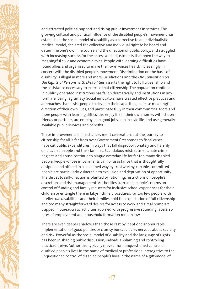and attracted political support and rising public investment in services. The growing cultural and political influence of the disabled people's movement has established the social model of disability as a corrective to an individualistic medical model, declared the collective and individual right to be heard and determine one's own life course and the direction of public policy, and struggled with increasing success for the access and adjustments that open the way to meaningful civic and economic roles. People with learning difficulties have found allies and organised to make their own voices heard, increasingly in concert with the disabled people's movement. Discrimination on the basis of disability is illegal in more and more jurisdictions and the UN Convention on the Rights of Persons with Disabilities asserts the right to full citizenship and the assistance necessary to exercise that citizenship. The population confined in publicly operated institutions has fallen dramatically and institutions in any form are losing legitimacy. Social innovators have created effective practices and approaches that assist people to develop their capacities, exercise meaningful direction of their own lives, and participate fully in their communities. More and more people with learning difficulties enjoy life in their own homes with chosen friends or partners, are employed in good jobs, join in civic life, and use generally available public services and benefits.

These improvements in life chances merit celebration, but the journey to citizenship for all is far from over. Governments' responses to fiscal crises have cut public expenditures in ways that fall disproportionately and harshly on disabled people and their families. Scandalous mistreatment, hate crime, neglect, and abuse continue to plague everyday life for far too many disabled people. People whose impairments call for assistance that is thoughtfully designed and offered in a sustained way by trustworthy, capable, committed people are particularly vulnerable to exclusion and deprivation of opportunity. The thrust to self-direction is blunted by rationing, restrictions on people's discretion, and risk management. Authorities turn aside people's claims on control of funding and family requests for inclusive school experiences for their children or entangle them in labyrinthine procedures. Far too few people with intellectual disabilities and their families hold the expectation of full citizenship and too many straightforward desires for access to work and a real home are trapped in bureaucratic activities adorned with progressive sounding labels; so rates of employment and household formation remain low.

There are even deeper shadows than those cast by inept or dishonourable implementation of good policies or clumsy bureaucracies nervous about scarcity and risk. Powerful as the social model of disability and the language of rights has been in shaping public discussion, individual-blaming and controlling practices thrive. Authorities typically moved from unquestioned control of disabled people's lives in the name of medical or professional prerogative to the unquestioned control of disabled people's lives in the name of a gift-model of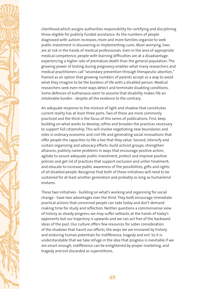clienthood,which assigns authorities responsibility for certifying and disciplining those eligible for publicly funded assistance. As the numbers of people diagnosed with autism increases, more and more families organize to seek public investment in discovering or implementing cures. Most worrying, lives are at risk in the hands of medical professionals. Even in the area of appropriate medical competence, people with learning difficulties are at a disadvantage, experiencing a higher rate of premature death than the general population. The growing power of testing during pregnancy enables what many researchers and medical practitioners call "secondary prevention through therapeutic abortion," framed as an option that growing numbers of parents accept as a way to avoid what they imagine to be the burdens of life with a disabled person. Medical researchers seek even more ways detect and terminate disabling conditions. Some defences of euthanasia seem to assume that disability makes life an intolerable burden - despite all the evidence to the contrary.

An adequate response to the mixture of light and shadow that constitutes current reality has at least three parts. Two of these are more commonly practiced and the third is the focus of this series of publications. First, keep building on what works to develop, refine and broaden the practices necessary to support full citizenship. This will involve negotiating new boundaries and roles in ordinary economic and civil life and generating social innovations that offer people the capacities to life a live that they value. Second, intensify and sustain organizing and advocacy efforts: build activist groups; strengthen alliances; publicly name problems in ways that encourage positive action; agitate to assure adequate public investment, protect and improve positive policies and get rid of practices that support exclusion and unfair treatment; and educate to increase public awareness of the possibilities, gifts and rights of all disabled people. Recognize that both of these initiatives will need to be sustained for at least another generation and probably as long as humankind endures.

These two initiatives - building on what's working and organising for social change - have two advantages over the third. They both encourage immediate practical actions that concerned people can take today and don't demand making time for study and reflection. Neither questions a commonsense view of history as steady progress: we may suffer setbacks at the hands of today's opponents but our trajectory is upwards and we can act free of the backward ideas of the past. Our culture offers few resources for sober consideration of the shadows that haunt our efforts, the ways we are ensnared by history and enduring human potentials for indifference, tragedy and evil. So it is understandable that we take refuge in the idea that progress is inevitable if we are smart enough, indifference can be enlightened by proper marketing, and tragedy and evil discarded as superstitions.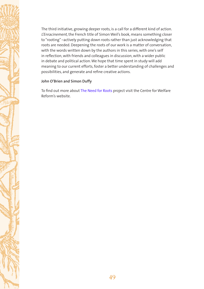The third initiative, growing deeper roots, is a call for a different kind of action. L'Enracinement, the French title of Simon Weil's book, means something closer to "rooting" –actively putting down roots rather than just acknowledging that roots are needed. Deepening the roots of our work is a matter of conversation, with the words written down by the authors in this series, with one's self in reflection, with friends and colleagues in discussion, with a wider public in debate and political action. We hope that time spent in study will add meaning to our current efforts, foster a better understanding of challenges and possibilities, and generate and refine creative actions.

#### **John O'Brien and Simon Duffy**

To find out more about [The Need for Roots](http://www.centreforwelfarereform.org/projects/the-need-for-roots.html) project visit the Centre for Welfare Reform's website.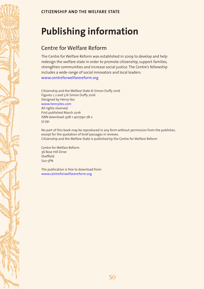## <span id="page-49-0"></span>**Publishing information**

### Centre for Welfare Reform

The Centre for Welfare Reform was established in 2009 to develop and help redesign the welfare state in order to promote citizenship, support families, strengthen communities and increase social justice. The Centre's fellowship includes a wide-range of social innovators and local leaders. [www.centreforwelfarereform.org](http://www.centreforwelfarereform.org)

Citizenship and the Welfare State © Simon Duffy 2016 Figures 1, 2 and 3 © Simon Duffy 2016 Designed by Henry Iles [www.henryiles.com](http://www.henryiles.com) All rights reserved. First published March 2016 ISBN download: 978-1-907790-78-2 52 pp.

No part of this book may be reproduced in any form without permission from the publisher, except for the quotation of brief passages in reviews. Citizenship and the Welfare State is published by the Centre for Welfare Reform

Centre for Welfare Reform 36 Rose Hill Drive Sheffield S20 5PN

The publication is free to download from: [www.centreforwelfarereform.org](http://www.centreforwelfarereform.org)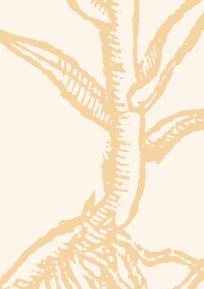